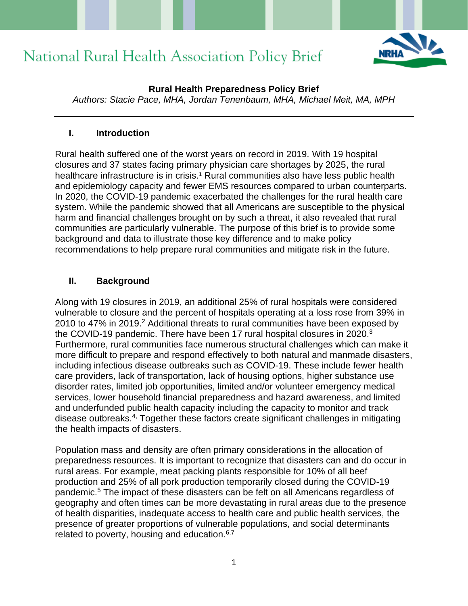

### **Rural Health Preparedness Policy Brief**

*Authors: Stacie Pace, MHA, Jordan Tenenbaum, MHA, Michael Meit, MA, MPH* 

### **I. Introduction**

Rural health suffered one of the worst years on record in 2019. With 19 hospital closures and 37 states facing primary physician care shortages by 2025, the rural healthcare infrastructure is in crisis.<sup>1</sup> Rural communities also have less public health and epidemiology capacity and fewer EMS resources compared to urban counterparts. In 2020, the COVID-19 pandemic exacerbated the challenges for the rural health care system. While the pandemic showed that all Americans are susceptible to the physical harm and financial challenges brought on by such a threat, it also revealed that rural communities are particularly vulnerable. The purpose of this brief is to provide some background and data to illustrate those key difference and to make policy recommendations to help prepare rural communities and mitigate risk in the future.

## **II. Background**

Along with 19 closures in 2019, an additional 25% of rural hospitals were considered vulnerable to closure and the percent of hospitals operating at a loss rose from 39% in 2010 to 47% in 2019.<sup>2</sup> Additional threats to rural communities have been exposed by the COVID-19 pandemic. There have been 17 rural hospital closures in 2020.<sup>3</sup> Furthermore, rural communities face numerous structural challenges which can make it more difficult to prepare and respond effectively to both natural and manmade disasters, including infectious disease outbreaks such as COVID-19. These include fewer health care providers, lack of transportation, lack of housing options, higher substance use disorder rates, limited job opportunities, limited and/or volunteer emergency medical services, lower household financial preparedness and hazard awareness, and limited and underfunded public health capacity including the capacity to monitor and track disease outbreaks.4, Together these factors create significant challenges in mitigating the health impacts of disasters.

Population mass and density are often primary considerations in the allocation of preparedness resources. It is important to recognize that disasters can and do occur in rural areas. For example, meat packing plants responsible for 10% of all beef production and 25% of all pork production temporarily closed during the COVID-19 pandemic.<sup>5</sup> The impact of these disasters can be felt on all Americans regardless of geography and often times can be more devastating in rural areas due to the presence of health disparities, inadequate access to health care and public health services, the presence of greater proportions of vulnerable populations, and social determinants related to poverty, housing and education. $6,7$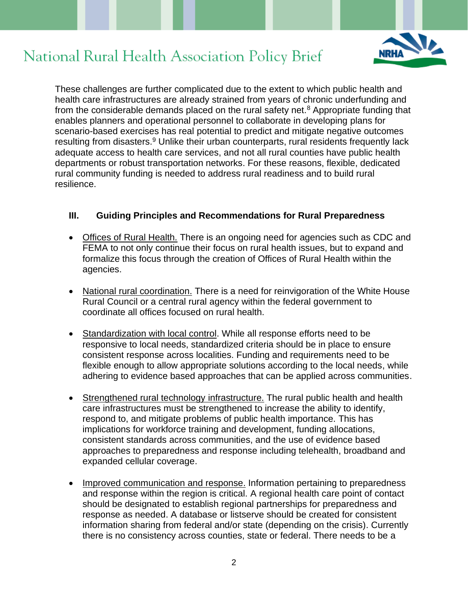

These challenges are further complicated due to the extent to which public health and health care infrastructures are already strained from years of chronic underfunding and from the considerable demands placed on the rural safety net. $8$  Appropriate funding that enables planners and operational personnel to collaborate in developing plans for scenario-based exercises has real potential to predict and mitigate negative outcomes resulting from disasters.<sup>9</sup> Unlike their urban counterparts, rural residents frequently lack adequate access to health care services, and not all rural counties have public health departments or robust transportation networks. For these reasons, flexible, dedicated rural community funding is needed to address rural readiness and to build rural resilience.

### **III. Guiding Principles and Recommendations for Rural Preparedness**

- Offices of Rural Health. There is an ongoing need for agencies such as CDC and FEMA to not only continue their focus on rural health issues, but to expand and formalize this focus through the creation of Offices of Rural Health within the agencies.
- National rural coordination. There is a need for reinvigoration of the White House Rural Council or a central rural agency within the federal government to coordinate all offices focused on rural health.
- Standardization with local control. While all response efforts need to be responsive to local needs, standardized criteria should be in place to ensure consistent response across localities. Funding and requirements need to be flexible enough to allow appropriate solutions according to the local needs, while adhering to evidence based approaches that can be applied across communities.
- Strengthened rural technology infrastructure. The rural public health and health care infrastructures must be strengthened to increase the ability to identify, respond to, and mitigate problems of public health importance. This has implications for workforce training and development, funding allocations, consistent standards across communities, and the use of evidence based approaches to preparedness and response including telehealth, broadband and expanded cellular coverage.
- Improved communication and response. Information pertaining to preparedness and response within the region is critical. A regional health care point of contact should be designated to establish regional partnerships for preparedness and response as needed. A database or listserve should be created for consistent information sharing from federal and/or state (depending on the crisis). Currently there is no consistency across counties, state or federal. There needs to be a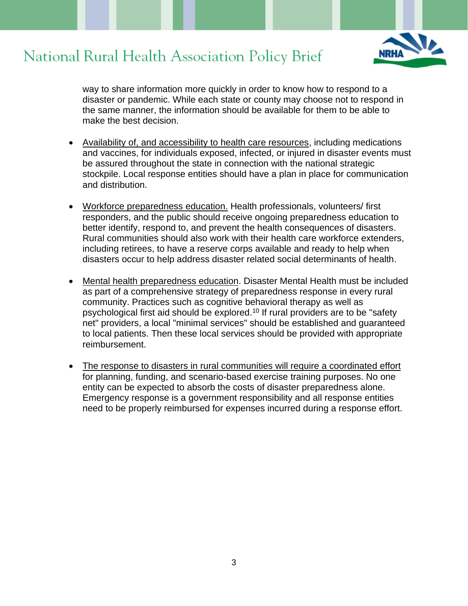way to share information more quickly in order to know how to respond to a disaster or pandemic. While each state or county may choose not to respond in the same manner, the information should be available for them to be able to make the best decision.

- Availability of, and accessibility to health care resources, including medications and vaccines, for individuals exposed, infected, or injured in disaster events must be assured throughout the state in connection with the national strategic stockpile. Local response entities should have a plan in place for communication and distribution.
- Workforce preparedness education. Health professionals, volunteers/ first responders, and the public should receive ongoing preparedness education to better identify, respond to, and prevent the health consequences of disasters. Rural communities should also work with their health care workforce extenders, including retirees, to have a reserve corps available and ready to help when disasters occur to help address disaster related social determinants of health.
- Mental health preparedness education. Disaster Mental Health must be included as part of a comprehensive strategy of preparedness response in every rural community. Practices such as cognitive behavioral therapy as well as psychological first aid should be explored.<sup>10</sup> If rural providers are to be "safety net" providers, a local "minimal services" should be established and guaranteed to local patients. Then these local services should be provided with appropriate reimbursement.
- The response to disasters in rural communities will require a coordinated effort for planning, funding, and scenario-based exercise training purposes. No one entity can be expected to absorb the costs of disaster preparedness alone. Emergency response is a government responsibility and all response entities need to be properly reimbursed for expenses incurred during a response effort.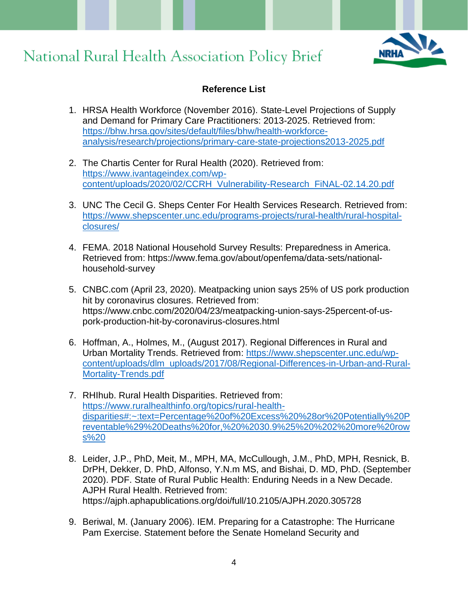

### **Reference List**

- 1. HRSA Health Workforce (November 2016). State-Level Projections of Supply and Demand for Primary Care Practitioners: 2013-2025. Retrieved from: [https://bhw.hrsa.gov/sites/default/files/bhw/health-workforce](https://bhw.hrsa.gov/sites/default/files/bhw/health-workforce-analysis/research/projections/primary-care-state-projections2013-2025.pdf)[analysis/research/projections/primary-care-state-projections2013-2025.pdf](https://bhw.hrsa.gov/sites/default/files/bhw/health-workforce-analysis/research/projections/primary-care-state-projections2013-2025.pdf)
- 2. The Chartis Center for Rural Health (2020). Retrieved from: [https://www.ivantageindex.com/wp](https://www.ivantageindex.com/wp-content/uploads/2020/02/CCRH_Vulnerability-Research_FiNAL-02.14.20.pdf)[content/uploads/2020/02/CCRH\\_Vulnerability-Research\\_FiNAL-02.14.20.pdf](https://www.ivantageindex.com/wp-content/uploads/2020/02/CCRH_Vulnerability-Research_FiNAL-02.14.20.pdf)
- 3. UNC The Cecil G. Sheps Center For Health Services Research. Retrieved from: [https://www.shepscenter.unc.edu/programs-projects/rural-health/rural-hospital](https://www.shepscenter.unc.edu/programs-projects/rural-health/rural-hospital-closures/)[closures/](https://www.shepscenter.unc.edu/programs-projects/rural-health/rural-hospital-closures/)
- 4. FEMA. 2018 National Household Survey Results: Preparedness in America. Retrieved from: https://www.fema.gov/about/openfema/data-sets/nationalhousehold-survey
- 5. CNBC.com (April 23, 2020). Meatpacking union says 25% of US pork production hit by coronavirus closures. Retrieved from: https://www.cnbc.com/2020/04/23/meatpacking-union-says-25percent-of-uspork-production-hit-by-coronavirus-closures.html
- 6. Hoffman, A., Holmes, M., (August 2017). Regional Differences in Rural and Urban Mortality Trends. Retrieved from: [https://www.shepscenter.unc.edu/wp](https://www.shepscenter.unc.edu/wp-content/uploads/dlm_uploads/2017/08/Regional-Differences-in-Urban-and-Rural-Mortality-Trends.pdf)[content/uploads/dlm\\_uploads/2017/08/Regional-Differences-in-Urban-and-Rural-](https://www.shepscenter.unc.edu/wp-content/uploads/dlm_uploads/2017/08/Regional-Differences-in-Urban-and-Rural-Mortality-Trends.pdf)[Mortality-Trends.pdf](https://www.shepscenter.unc.edu/wp-content/uploads/dlm_uploads/2017/08/Regional-Differences-in-Urban-and-Rural-Mortality-Trends.pdf)
- 7. RHIhub. Rural Health Disparities. Retrieved from: [https://www.ruralhealthinfo.org/topics/rural-health](https://www.ruralhealthinfo.org/topics/rural-health-disparities#:~:text=Percentage%20of%20Excess%20%28or%20Potentially%20Preventable%29%20Deaths%20for,%20%2030.9%25%20%202%20more%20rows%20)[disparities#:~:text=Percentage%20of%20Excess%20%28or%20Potentially%20P](https://www.ruralhealthinfo.org/topics/rural-health-disparities#:~:text=Percentage%20of%20Excess%20%28or%20Potentially%20Preventable%29%20Deaths%20for,%20%2030.9%25%20%202%20more%20rows%20) [reventable%29%20Deaths%20for,%20%2030.9%25%20%202%20more%20row](https://www.ruralhealthinfo.org/topics/rural-health-disparities#:~:text=Percentage%20of%20Excess%20%28or%20Potentially%20Preventable%29%20Deaths%20for,%20%2030.9%25%20%202%20more%20rows%20) [s%20](https://www.ruralhealthinfo.org/topics/rural-health-disparities#:~:text=Percentage%20of%20Excess%20%28or%20Potentially%20Preventable%29%20Deaths%20for,%20%2030.9%25%20%202%20more%20rows%20)
- 8. Leider, J.P., PhD, Meit, M., MPH, MA, McCullough, J.M., PhD, MPH, Resnick, B. DrPH, Dekker, D. PhD, Alfonso, Y.N.m MS, and Bishai, D. MD, PhD. (September 2020). PDF. State of Rural Public Health: Enduring Needs in a New Decade. AJPH Rural Health. Retrieved from: https://ajph.aphapublications.org/doi/full/10.2105/AJPH.2020.305728
- 9. Beriwal, M. (January 2006). IEM. Preparing for a Catastrophe: The Hurricane Pam Exercise. Statement before the Senate Homeland Security and